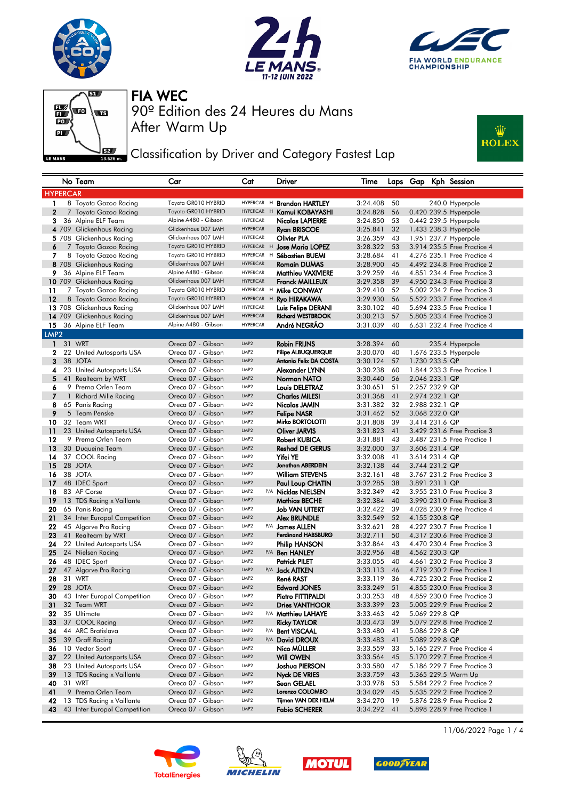







Classification by Driver and Category Fastest Lap



|                     |              | No Team                                         | Car                                    | Cat                                | Driver                                              | Time                 |            | Laps Gap | Kph Session                                                |  |
|---------------------|--------------|-------------------------------------------------|----------------------------------------|------------------------------------|-----------------------------------------------------|----------------------|------------|----------|------------------------------------------------------------|--|
| <b>HYPERCAR</b>     |              |                                                 |                                        |                                    |                                                     |                      |            |          |                                                            |  |
| 1                   |              | 8 Toyota Gazoo Racing                           | Toyota GR010 HYBRID                    | HYPERCAR H                         | <b>Brendon HARTLEY</b>                              | 3:24.408             | 50         |          | 240.0 Hyperpole                                            |  |
| $\overline{2}$      |              | 7 Toyota Gazoo Racing                           | Toyota GR010 HYBRID                    | HYPERCAR H                         | Kamui KOBAYASHI                                     | 3:24.828             | 56         |          | 0.420 239.5 Hyperpole                                      |  |
| 3                   |              | 36 Alpine ELF Team                              | Alpine A480 - Gibson                   | <b>HYPERCAR</b>                    | Nicolas LAPIERRE                                    | 3:24.850             | 53         |          | 0.442 239.5 Hyperpole                                      |  |
|                     |              | 4 709 Glickenhaus Racing                        | Glickenhaus 007 LMH                    | <b>HYPERCAR</b>                    | <b>Ryan BRISCOE</b>                                 | 3:25.841             | 32         |          | 1.433 238.3 Hyperpole                                      |  |
|                     |              | 5 708 Glickenhaus Racing                        | Glickenhaus 007 LMH                    | <b>HYPERCAR</b>                    | Olivier PLA                                         | 3:26.359             | 43         |          | 1.951 237.7 Hyperpole                                      |  |
| 6                   |              | 7 Toyota Gazoo Racing                           | Toyota GR010 HYBRID                    | HYPERCAR H                         | <b>Jose Maria LOPEZ</b>                             | 3:28.322             | 53         |          | 3.914 235.5 Free Practice 4                                |  |
| 7                   |              | 8 Toyota Gazoo Racing                           | Toyota GR010 HYBRID                    | HYPERCAR H                         | Sébastien BUEMI                                     | 3:28.684             | 41         |          | 4.276 235.1 Free Practice 4                                |  |
|                     |              | 8 708 Glickenhaus Racing                        | Glickenhaus 007 LMH                    | <b>HYPERCAR</b>                    | <b>Romain DUMAS</b>                                 | 3:28.900             | 45         |          | 4.492 234.8 Free Practice 2                                |  |
| 9                   |              | 36 Alpine ELF Team                              | Alpine A480 - Gibson                   | <b>HYPERCAR</b>                    | Matthieu VAXIVIERE                                  | 3:29.259             | 46         |          | 4.851 234.4 Free Practice 3                                |  |
|                     |              | 10 709 Glickenhaus Racing                       | Glickenhaus 007 LMH                    | <b>HYPERCAR</b>                    | <b>Franck MAILLEUX</b>                              | 3:29.358             | 39         |          | 4.950 234.3 Free Practice 3                                |  |
| 11                  |              | 7 Toyota Gazoo Racing                           | Toyota GR010 HYBRID                    | <b>HYPERCAR</b><br>H               | Mike CONWAY                                         | 3:29.410             | 52         |          | 5,002 234.2 Free Practice 3                                |  |
| 12                  |              | 8 Toyota Gazoo Racing                           | Toyota GR010 HYBRID                    | <b>HYPERCAR</b><br>H               | Ryo HIRAKAWA                                        | 3:29.930             | 56         |          | 5.522 233.7 Free Practice 4                                |  |
|                     |              | 13 708 Glickenhaus Racing                       | Glickenhaus 007 LMH                    | <b>HYPERCAR</b>                    | Luis Felipe DERANI                                  | 3:30.102             | 40         |          | 5.694 233.5 Free Practice 1                                |  |
|                     |              | 14 709 Glickenhaus Racing                       | Glickenhaus 007 LMH                    | <b>HYPERCAR</b><br><b>HYPERCAR</b> | <b>Richard WESTBROOK</b>                            | 3:30.213             | 57         |          | 5.805 233.4 Free Practice 3                                |  |
| 15                  |              | 36 Alpine ELF Team                              | Alpine A480 - Gibson                   |                                    | André NEGRÃO                                        | 3:31.039             | 40         |          | 6.631 232.4 Free Practice 4                                |  |
| LMP <sub>2</sub>    |              |                                                 |                                        |                                    |                                                     |                      |            |          |                                                            |  |
| $\mathbf{1}$        |              | 31 WRT                                          | Oreca 07 - Gibson                      | LMP <sub>2</sub>                   | <b>Robin FRIJNS</b>                                 | 3:28.394             | 60         |          | 235.4 Hyperpole                                            |  |
| $\mathbf{2}$        |              | 22 United Autosports USA                        | Oreca 07 - Gibson                      | LMP <sub>2</sub>                   | <b>Filipe ALBUQUERQUE</b><br>Antonio Felix DA COSTA | 3:30.070             | 40         |          | 1.676 233.5 Hyperpole                                      |  |
| 3                   | 38           | <b>JOTA</b>                                     | Oreca 07 - Gibson<br>Oreca 07 - Gibson | LMP <sub>2</sub>                   |                                                     | 3:30.124             | 57         |          | 1.730 233.5 QP                                             |  |
| 4                   |              | 23 United Autosports USA                        |                                        | LMP <sub>2</sub><br>LMP2           | Alexander LYNN<br>Norman NATO                       | 3:30.238             | 60         |          | 1,844 233,3 Free Practice 1                                |  |
| 5                   | 41           | Realteam by WRT                                 | Oreca 07 - Gibson                      | LMP <sub>2</sub>                   |                                                     | 3:30.440             | 56         |          | 2.046 233.1 QP                                             |  |
| 6<br>$\overline{7}$ | $\mathbf{1}$ | 9 Prema Orlen Team                              | Oreca 07 - Gibson<br>Oreca 07 - Gibson | LMP2                               | <b>Louis DELETRAZ</b>                               | 3:30.651             | 51<br>41   |          | 2.257 232.9 QP<br>2.974 232.1 QP                           |  |
| 8                   |              | <b>Richard Mille Racing</b>                     | Oreca 07 - Gibson                      | LMP <sub>2</sub>                   | <b>Charles MILESI</b><br>Nicolas JAMIN              | 3:31.368             | 32         |          | 2.988 232.1 QP                                             |  |
| 9                   |              | 65 Panis Racing<br>5 Team Penske                | Oreca 07 - Gibson                      | LMP <sub>2</sub>                   |                                                     | 3:31.382<br>3:31.462 | 52         |          | 3.068 232.0 QP                                             |  |
| 10                  |              | 32 Team WRT                                     | Oreca 07 - Gibson                      | LMP <sub>2</sub>                   | <b>Felipe NASR</b><br>Mirko BORTOLOTTI              | 3:31.808             | 39         |          | 3.414 231.6 QP                                             |  |
| 11                  |              | 23 United Autosports USA                        | Oreca 07 - Gibson                      | LMP <sub>2</sub>                   | Oliver JARVIS                                       | 3:31.823             | 41         |          | 3.429 231.6 Free Practice 3                                |  |
| 12                  |              | 9 Prema Orlen Team                              | Oreca 07 - Gibson                      | LMP <sub>2</sub>                   | <b>Robert KUBICA</b>                                | 3:31.881             | 43         |          | 3.487 231.5 Free Practice 1                                |  |
| 13                  |              | 30 Duqueine Team                                | Oreca 07 - Gibson                      | LMP2                               | <b>Reshad DE GERUS</b>                              | 3:32.000             | 37         |          | 3.606 231.4 QP                                             |  |
| 14                  |              | 37 COOL Racing                                  | Oreca 07 - Gibson                      | LMP <sub>2</sub>                   | <b>Yifei YE</b>                                     | 3:32.008             | 41         |          | 3.614 231.4 QP                                             |  |
| 15                  |              | 28 JOTA                                         | Oreca 07 - Gibson                      | LMP2                               | Jonathan ABERDEIN                                   | 3:32.138             | 44         |          | 3.744 231.2 QP                                             |  |
| 16                  |              | 38 JOTA                                         | Oreca 07 - Gibson                      | LMP <sub>2</sub>                   | <b>William STEVENS</b>                              | 3:32.161             | 48         |          | 3.767 231.2 Free Practice 3                                |  |
| 17                  |              | 48 IDEC Sport                                   | Oreca 07 - Gibson                      | LMP <sub>2</sub>                   | Paul Loup CHATIN                                    | 3:32.285             | 38         |          | 3.891 231.1 QP                                             |  |
| 18                  |              | 83 AF Corse                                     | Oreca 07 - Gibson                      | LMP <sub>2</sub>                   | P/A Nicklas NIELSEN                                 | 3:32.349             | 42         |          | 3.955 231.0 Free Practice 3                                |  |
| 19                  |              | 13 TDS Racing x Vaillante                       | Oreca 07 - Gibson                      | LMP <sub>2</sub>                   | <b>Mathias BECHE</b>                                | 3:32.384             | 40         |          | 3.990 231.0 Free Practice 3                                |  |
| 20                  |              | 65 Panis Racing                                 | Oreca 07 - Gibson                      | LMP <sub>2</sub>                   | <b>Job VAN UITERT</b>                               | 3:32.422             | 39         |          | 4.028 230.9 Free Practice 4                                |  |
| 21                  |              | 34 Inter Europol Competition                    | Oreca 07 - Gibson                      | LMP2                               | <b>Alex BRUNDLE</b>                                 | 3:32.549             | 52         |          | 4.155 230.8 QP                                             |  |
| 22                  |              | 45 Algarve Pro Racing                           | Oreca 07 - Gibson                      | LMP <sub>2</sub>                   | P/A James ALLEN                                     | 3:32.621             | 28         |          | 4.227 230.7 Free Practice 1                                |  |
| 23                  |              | 41 Realteam by WRT                              | Oreca 07 - Gibson                      | LMP <sub>2</sub>                   | <b>Ferdinand HABSBURG</b>                           | 3:32.711             | 50         |          | 4.317 230.6 Free Practice 3                                |  |
| 24                  |              | 22 United Autosports USA                        | Oreca 07 - Gibson                      | LMP <sub>2</sub>                   | <b>Philip HANSON</b>                                | 3:32.864             | 43         |          | 4.470 230.4 Free Practice 3                                |  |
| 25                  |              | 24 Nielsen Racing                               | Oreca 07 - Gibson                      | LMP2                               | P/A Ben HANLEY                                      | 3:32.956             | 48         |          | 4.562 230.3 QP                                             |  |
| 26                  |              | 48 IDEC Sport                                   | Oreca 07 - Gibson                      | LMP <sub>2</sub>                   | <b>Patrick PILET</b>                                | 3:33.055             | 40         |          | 4.661 230.2 Free Practice 3                                |  |
| 27                  |              | 47 Algarve Pro Racing                           | Oreca 07 - Gibson                      | LMP2                               | P/A Jack AITKEN                                     | 3:33.113             | 46         |          | 4.719 230.2 Free Practice 1                                |  |
| 28                  |              | 31 WRT                                          | Oreca 07 - Gibson                      | LMP <sub>2</sub>                   | René RAST                                           | 3:33.119             | 36         |          | 4.725 230.2 Free Practice 2                                |  |
| 29                  |              | 28 JOTA                                         | Oreca 07 - Gibson                      | LMP <sub>2</sub>                   | <b>Edward JONES</b>                                 | 3:33.249             | 51         |          | 4.855 230.0 Free Practice 3                                |  |
| 30                  |              | 43 Inter Europol Competition                    | Oreca 07 - Gibson                      | LMP <sub>2</sub>                   | Pietro FITTIPALDI                                   | 3:33.253             | 48         |          | 4,859 230.0 Free Practice 3                                |  |
| 31                  |              | 32 Team WRT                                     | Oreca 07 - Gibson                      | LMP2                               | <b>Dries VANTHOOR</b>                               | 3:33.399             | 23         |          | 5.005 229.9 Free Practice 2                                |  |
| 32                  |              | 35 Ultimate                                     | Oreca 07 - Gibson                      | LMP2                               | P/A Matthieu LAHAYE                                 | 3:33.463             | 42         |          | 5.069 229.8 QP                                             |  |
| 33                  |              | 37 COOL Racing                                  | Oreca 07 - Gibson                      | LMP2                               | Ricky TAYLOR                                        | 3:33.473             | 39         |          | 5.079 229.8 Free Practice 2                                |  |
| 34                  |              | 44 ARC Bratislava                               | Oreca 07 - Gibson                      | LMP <sub>2</sub>                   | P/A Bent VISCAAL                                    | 3:33.480             | 41         |          | 5.086 229.8 QP                                             |  |
| 35                  |              | 39 Graff Racing                                 | Oreca 07 - Gibson                      | LMP2                               | P/A David DROUX                                     | 3:33.483             | 41         |          | 5.089 229.8 QP                                             |  |
| 36                  |              | 10 Vector Sport                                 | Oreca 07 - Gibson                      | LMP2                               | Nico MÜLLER                                         | 3:33.559             | 33         |          | 5.165 229.7 Free Practice 4                                |  |
| 37                  |              | 22 United Autosports USA                        | Oreca 07 - Gibson                      | LMP2                               | <b>Will OWEN</b>                                    | 3:33.564             | 45         |          | 5.170 229.7 Free Practice 4                                |  |
| 38                  |              | 23 United Autosports USA                        | Oreca 07 - Gibson                      | LMP <sub>2</sub>                   | Joshua PIERSON                                      | 3:33.580             | 47         |          | 5.186 229.7 Free Practice 3                                |  |
| 39                  |              | 13 TDS Racing x Vaillante                       | Oreca 07 - Gibson                      | LMP2                               | Nyck DE VRIES                                       | 3:33.759             | 43         |          | 5.365 229.5 Warm Up                                        |  |
| 40                  |              | 31 WRT                                          | Oreca 07 - Gibson                      | LMP <sub>2</sub>                   | Sean GELAEL<br>Lorenzo COLOMBO                      | 3:33.978             | 53         |          | 5.584 229.2 Free Practice 2                                |  |
| 41                  |              | 9 Prema Orlen Team<br>13 TDS Racing x Vaillante | Oreca 07 - Gibson                      | LMP2<br>LMP <sub>2</sub>           | Tijmen VAN DER HELM                                 | 3:34.029             | 45         |          | 5.635 229.2 Free Practice 2                                |  |
| 42<br>43            |              |                                                 | Oreca 07 - Gibson<br>Oreca 07 - Gibson | LMP2                               | <b>Fabio SCHERER</b>                                | 3:34.270             | - 19<br>41 |          | 5.876 228.9 Free Practice 2<br>5.898 228.9 Free Practice 1 |  |
|                     |              | 43 Inter Europol Competition                    |                                        |                                    |                                                     | 3:34.292             |            |          |                                                            |  |









11/06/2022 Page 1 / 4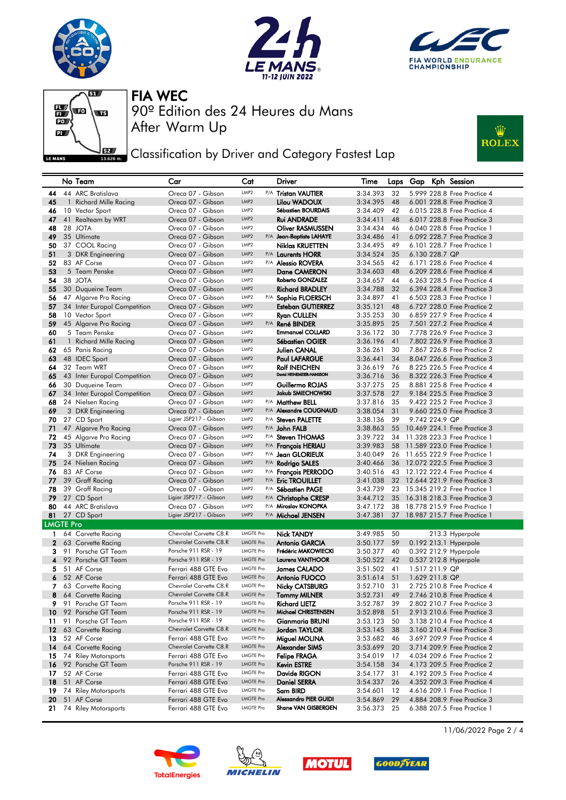







**J**EZ Classification by Driver and Category Fastest Lap



|                  |    | No Team                                    | Car                                             | Cat                                  |     | Driver                                           | Time                 | Laps     | Gap            | Kph Session                                                |
|------------------|----|--------------------------------------------|-------------------------------------------------|--------------------------------------|-----|--------------------------------------------------|----------------------|----------|----------------|------------------------------------------------------------|
| 44               |    | 44 ARC Bratislava                          | Oreca 07 - Gibson                               | LMP <sub>2</sub>                     |     | P/A Tristan VAUTIER                              | 3:34.393             | 32       |                | 5.999 228.8 Free Practice 4                                |
| 45               |    | 1 Richard Mille Racing                     | Oreca 07 - Gibson                               | LMP2                                 |     | Lilou WADOUX                                     | 3:34.395             | 48       |                | 6.001 228.8 Free Practice 3                                |
| 46               |    | 10 Vector Sport                            | Oreca 07 - Gibson                               | LMP <sub>2</sub>                     |     | Sébastien BOURDAIS                               | 3:34.409             | 42       |                | 6.015 228.8 Free Practice 4                                |
| 47               |    | 41 Realteam by WRT                         | Oreca 07 - Gibson                               | LMP <sub>2</sub>                     |     | <b>Rui ANDRADE</b>                               | 3:34.411             | 48       |                | 6.017 228.8 Free Practice 3                                |
| 48               |    | 28 JOTA                                    | Oreca 07 - Gibson                               | LMP <sub>2</sub>                     |     | <b>Oliver RASMUSSEN</b>                          | 3:34.434             | 46       |                | 6.040 228.8 Free Practice 1                                |
| 49               |    | 35 Ultimate                                | Oreca 07 - Gibson                               | LMP2                                 |     | P/A Jean-Baptiste LAHAYE                         | 3:34.486             | 41       |                | 6.092 228.7 Free Practice 3                                |
| 50               |    | 37 COOL Racing                             | Oreca 07 - Gibson                               | LMP <sub>2</sub>                     |     | <b>Niklas KRUETTEN</b>                           | 3:34.495             | 49       |                | 6.101 228.7 Free Practice 1                                |
| 51               |    | 3 DKR Engineering                          | Oreca 07 - Gibson                               | LMP2                                 |     | P/A Laurents HORR                                | 3:34.524             | 35       | 6.130 228.7 QP |                                                            |
| 52               |    | 83 AF Corse                                | Oreca 07 - Gibson                               | LMP <sub>2</sub>                     |     | P/A Alessio ROVERA                               | 3:34.565             | 42       |                | 6.171 228.6 Free Practice 4                                |
| 53               |    | 5 Team Penske                              | Oreca 07 - Gibson                               | LMP <sub>2</sub>                     |     | Dane CAMERON                                     | 3:34.603             | 48       |                | 6.209 228.6 Free Practice 4                                |
| 54               |    | 38 JOTA                                    | Oreca 07 - Gibson                               | LMP <sub>2</sub>                     |     | Roberto GONZALEZ                                 | 3:34.657             | 44       |                | 6.263 228.5 Free Practice 4                                |
| 55               |    | 30 Duqueine Team                           | Oreca 07 - Gibson                               | LMP <sub>2</sub>                     |     | <b>Richard BRADLEY</b>                           | 3:34.788             | 32       |                | 6.394 228.4 Free Practice 3                                |
| 56               |    | 47 Algarve Pro Racing                      | Oreca 07 - Gibson                               | LMP <sub>2</sub>                     | P/A | Sophia FLOERSCH                                  | 3:34.897             | 41       |                | 6.503 228.3 Free Practice 1                                |
| 57               |    | 34 Inter Europol Competition               | Oreca 07 - Gibson                               | LMP <sub>2</sub>                     |     | <b>Esteban GUTIERREZ</b>                         | 3:35.121             | 48       |                | 6.727 228.0 Free Practice 2                                |
| 58               |    | 10 Vector Sport                            | Oreca 07 - Gibson                               | LMP <sub>2</sub>                     |     | <b>Ryan CULLEN</b>                               | 3:35.253             | 30       |                | 6.859 227.9 Free Practice 4                                |
| 59               |    | 45 Algarve Pro Racing                      | Oreca 07 - Gibson                               | LMP2                                 |     | P/A René BINDER                                  | 3:35.895             | 25       |                | 7.501 227.2 Free Practice 4                                |
| 60               |    | 5 Team Penske                              | Oreca 07 - Gibson                               | LMP <sub>2</sub>                     |     | <b>Emmanuel COLLARD</b>                          | 3:36.172             | 30       |                | 7.778 226.9 Free Practice 3                                |
| 61               |    | 1 Richard Mille Racing                     | Oreca 07 - Gibson                               | LMP <sub>2</sub>                     |     | <b>Sébastien OGIER</b>                           | 3:36.196             | 41       |                | 7.802 226.9 Free Practice 3                                |
| 62               |    | 65 Panis Racing                            | Oreca 07 - Gibson                               | LMP <sub>2</sub><br>LMP2             |     | Julien CANAL                                     | 3:36.261             | 30       |                | 7.867 226.8 Free Practice 2                                |
| 63               |    | 48 IDEC Sport                              | Oreca 07 - Gibson                               |                                      |     | <b>Paul LAFARGUE</b>                             | 3:36.441             | 34       |                | 8.047 226.6 Free Practice 3                                |
| 64               |    | 32 Team WRT                                | Oreca 07 - Gibson                               | LMP <sub>2</sub><br>LMP <sub>2</sub> |     | <b>Rolf INEICHEN</b><br>David HEINEMEIER-HANSSON | 3:36.619             | 76       |                | 8.225 226.5 Free Practice 4                                |
| 65               |    | 43 Inter Europol Competition               | Oreca 07 - Gibson<br>Oreca 07 - Gibson          | LMP <sub>2</sub>                     |     |                                                  | 3:36.716             | 36       |                | 8.322 226.3 Free Practice 4<br>8.881 225.8 Free Practice 4 |
| 66               |    | 30 Duqueine Team                           | Oreca 07 - Gibson                               | LMP <sub>2</sub>                     |     | Guillermo ROJAS<br><b>Jakub SMIECHOWSKI</b>      | 3:37.275<br>3:37.578 | 25<br>27 |                | 9.184 225.5 Free Practice 3                                |
| 67<br>68         |    | 34 Inter Europol Competition               | Oreca 07 - Gibson                               | LMP <sub>2</sub>                     |     | P/A Matthew BELL                                 | 3:37.816             | 35       |                | 9.422 225.2 Free Practice 3                                |
| 69               |    | 24 Nielsen Racing<br>3 DKR Engineering     | Oreca 07 - Gibson                               | LMP <sub>2</sub>                     |     | P/A Alexandre COUGNAUD                           | 3:38.054             | 31       |                | 9.660 225.0 Free Practice 3                                |
| 70               |    | 27 CD Sport                                | Ligier JSP217 - Gibson                          | LMP <sub>2</sub>                     |     | P/A Steven PALETTE                               | 3:38.136             | 39       | 9.742 224.9 QP |                                                            |
| 71               |    | 47 Algarve Pro Racing                      | Oreca 07 - Gibson                               | LMP <sub>2</sub>                     |     | P/A John FALB                                    | 3:38.863             | 55       |                | 10.469 224.1 Free Practice 3                               |
| 72               |    | 45 Algarve Pro Racing                      | Oreca 07 - Gibson                               | LMP <sub>2</sub>                     |     | P/A Steven THOMAS                                | 3:39.722             | 34       |                | 11.328 223.3 Free Practice 1                               |
| 73               |    | 35 Ultimate                                | Oreca 07 - Gibson                               | LMP <sub>2</sub>                     | P/A | <b>François HERIAU</b>                           | 3:39.983             | 58       |                | 11.589 223.0 Free Practice 1                               |
| 74               |    | 3 DKR Engineering                          | Oreca 07 - Gibson                               | LMP <sub>2</sub>                     |     | P/A Jean GLORIEUX                                | 3:40.049             | 26       |                | 11.655 222.9 Free Practice 1                               |
| 75               |    | 24 Nielsen Racing                          | Oreca 07 - Gibson                               | LMP <sub>2</sub>                     | P/A | <b>Rodrigo SALES</b>                             | 3:40.466             | 36       |                | 12.072 222.5 Free Practice 3                               |
| 76               |    | 83 AF Corse                                | Oreca 07 - Gibson                               | LMP <sub>2</sub>                     |     | P/A Francois PERRODO                             | 3:40.516             | 43       |                | 12.122 222.4 Free Practice 4                               |
| 77               |    | 39 Graff Racing                            | Oreca 07 - Gibson                               | LMP <sub>2</sub>                     |     | P/A Eric TROUILLET                               | 3:41.038             | 32       |                | 12.644 221.9 Free Practice 3                               |
| 78               |    | 39 Graff Racing                            | Oreca 07 - Gibson                               | LMP <sub>2</sub>                     |     | P/A Sébastien PAGE                               | 3:43.739             | 23       |                | 15.345 219.2 Free Practice 1                               |
| 79               |    | 27 CD Sport                                | Ligier JSP217 - Gibson                          | LMP <sub>2</sub>                     | P/A | <b>Christophe CRESP</b>                          | 3:44.712             | 35       |                | 16.318 218.3 Free Practice 3                               |
| 80               |    | 44 ARC Bratislava                          | Oreca 07 - Gibson                               | LMP2                                 |     | P/A Miroslav KONOPKA                             | 3:47.172             | 38       |                | 18,778 215.9 Free Practice 1                               |
| 81               |    | 27 CD Sport                                | Ligier JSP217 - Gibson                          | LMP <sub>2</sub>                     |     | P/A Michael JENSEN                               | 3:47.381             | 37       |                | 18.987 215.7 Free Practice 1                               |
| <b>LMGTE Pro</b> |    |                                            |                                                 |                                      |     |                                                  |                      |          |                |                                                            |
|                  |    | 1 64 Corvette Racing                       | Chevrolet Corvette C8.R                         | <b>LMGTE Pro</b>                     |     | <b>Nick TANDY</b>                                | 3:49.985             | 50       |                | 213.3 Hyperpole                                            |
| $\mathbf{2}$     |    | 63 Corvette Racing                         | Chevrolet Corvette C8.R                         | <b>LMGTE Pro</b>                     |     | <b>Antonio GARCIA</b>                            | 3:50.177             | 59       |                | 0.192 213.1 Hyperpole                                      |
| 3                |    | 91 Porsche GT Team                         | Porsche 911 RSR - 19                            | <b>LMGTE Pro</b>                     |     | Frédéric MAKOWIECKI                              | 3:50.377             | 40       |                | 0.392 212.9 Hyperpole                                      |
| 4                |    | 92 Porsche GT Team                         | Porsche 911 RSR - 19                            | <b>LMGTE Pro</b>                     |     | <b>Laurens VANTHOOR</b>                          | 3:50.522             | 42       |                | 0.537 212.8 Hyperpole                                      |
| 5.               |    | 51 AF Corse                                | Ferrari 488 GTE Evo                             | <b>LMGTE Pro</b>                     |     | <b>James CALADO</b>                              | 3:51.502             | 41       | 1.517 211.9 QP |                                                            |
| 6                |    | 52 AF Corse                                | Ferrari 488 GTE Evo                             | <b>LMGTE Pro</b>                     |     | <b>Antonio FUOCO</b>                             | 3:51.614             | 51       | 1.629 211.8 QP |                                                            |
| 7                |    | 63 Corvette Racing                         | Chevrolet Corvette C8.R                         | <b>LMGTE Pro</b>                     |     | <b>Nicky CATSBURG</b>                            | 3:52.710             | 31       |                | 2.725 210.8 Free Practice 4                                |
| 8                |    | 64 Corvette Racing                         | Chevrolet Corvette C8.R                         | <b>LMGTE Pro</b>                     |     | <b>Tommy MILNER</b>                              | 3:52.731             | 49       |                | 2.746 210.8 Free Practice 4                                |
| 9.               |    | 91 Porsche GT Team                         | Porsche 911 RSR - 19                            | <b>LMGTE Pro</b>                     |     | <b>Richard LIETZ</b>                             | 3:52.787             | 39       |                | 2,802 210.7 Free Practice 3                                |
| 10               |    | 92 Porsche GT Team                         | Porsche 911 RSR - 19                            | <b>LMGTE Pro</b>                     |     | Michael CHRISTENSEN                              | 3:52.898             | 51       |                | 2.913 210.6 Free Practice 3                                |
| 11               | 91 | Porsche GT Team                            | Porsche 911 RSR - 19<br>Chevrolet Corvette C8.R | <b>LMGTE Pro</b>                     |     | Gianmaria BRUNI                                  | 3:53.123             | 50       |                | 3.138 210.4 Free Practice 4                                |
| 12               |    | 63 Corvette Racing                         |                                                 | <b>LMGTE Pro</b>                     |     | Jordan TAYLOR                                    | 3:53.145             | 38       |                | 3.160 210.4 Free Practice 3                                |
| 13               |    | 52 AF Corse                                | Ferrari 488 GTE Evo<br>Chevrolet Corvette C8.R  | <b>LMGTE Pro</b><br><b>LMGTE Pro</b> |     | Miguel MOLINA                                    | 3:53.682             | 46       |                | 3.697 209.9 Free Practice 4                                |
| 14               |    | 64 Corvette Racing                         |                                                 | <b>LMGTE Pro</b>                     |     | <b>Alexander SIMS</b>                            | 3:53.699             | 20       |                | 3.714 209.9 Free Practice 2                                |
| 15<br>16         |    | 74 Riley Motorsports<br>92 Porsche GT Team | Ferrari 488 GTE Evo<br>Porsche 911 RSR - 19     | <b>LMGTE Pro</b>                     |     | <b>Felipe FRAGA</b><br><b>Kevin ESTRE</b>        | 3:54.019<br>3:54.158 | 17<br>34 |                | 4.034 209.6 Free Practice 2<br>4.173 209.5 Free Practice 2 |
| 17               |    | 52 AF Corse                                | Ferrari 488 GTE Evo                             | <b>LMGTE Pro</b>                     |     | Davide RIGON                                     | 3:54.177             | 31       |                | 4.192 209.5 Free Practice 4                                |
| 18               |    | 51 AF Corse                                | Ferrari 488 GTE Evo                             | <b>LMGTE Pro</b>                     |     | <b>Daniel SERRA</b>                              | 3:54.337             | 26       |                | 4.352 209.3 Free Practice 4                                |
| 19               |    | 74 Riley Motorsports                       | Ferrari 488 GTE Evo                             | <b>LMGTE Pro</b>                     |     | Sam BIRD                                         | 3:54.601             | 12       |                | 4.616 209.1 Free Practice 1                                |
| 20               |    | 51 AF Corse                                | Ferrari 488 GTE Evo                             | <b>LMGTE Pro</b>                     |     | Alessandro PIER GUIDI                            | 3:54.869             | 29       |                | 4.884 208.9 Free Practice 3                                |
| 21               |    | 74 Riley Motorsports                       | Ferrari 488 GTE Evo                             | <b>LMGTE Pro</b>                     |     | Shane VAN GISBERGEN                              | 3:56.373             | 25       |                | 6.388 207.5 Free Practice 1                                |
|                  |    |                                            |                                                 |                                      |     |                                                  |                      |          |                |                                                            |









11/06/2022 Page 2 / 4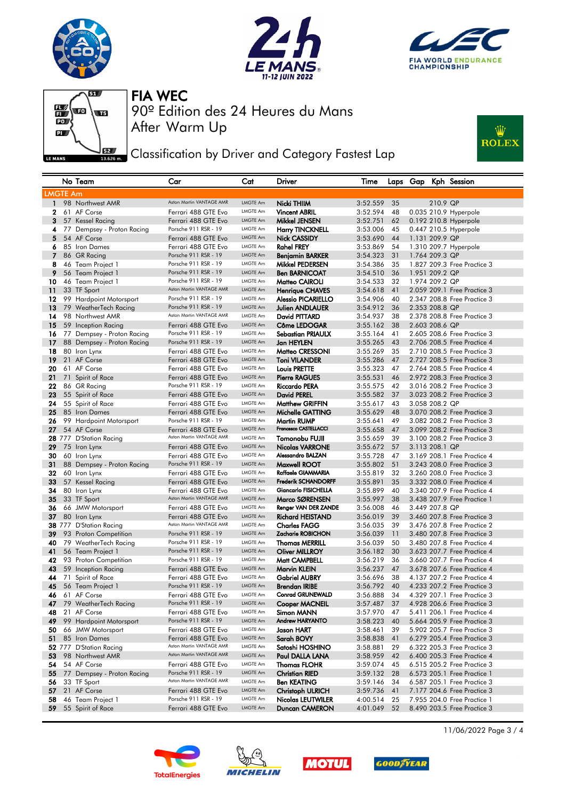







Classification by Driver and Category Fastest Lap



|                 | No Team                                    | Car                                             | Cat                  | Driver                                   | Time                 |          |                |                | Laps Gap Kph Session                                       |
|-----------------|--------------------------------------------|-------------------------------------------------|----------------------|------------------------------------------|----------------------|----------|----------------|----------------|------------------------------------------------------------|
| <b>LMGTE Am</b> |                                            |                                                 |                      |                                          |                      |          |                |                |                                                            |
| $\mathbf{1}$    | 98 Northwest AMR                           | Aston Martin VANTAGE AMR                        | <b>LMGTE Am</b>      | Nicki THIIM                              | 3:52.559             | 35       |                | 210.9 QP       |                                                            |
| 2               | 61 AF Corse                                | Ferrari 488 GTE Evo                             | LMGTE Am             | <b>Vincent ABRIL</b>                     | 3:52.594             | 48       |                |                | 0.035 210.9 Hyperpole                                      |
| 3               | 57 Kessel Racing                           | Ferrari 488 GTE Evo                             | <b>LMGTE Am</b>      | Mikkel JENSEN                            | 3:52.751             | 62       |                |                | 0.192 210.8 Hyperpole                                      |
| 4               | 77 Dempsey - Proton Racing                 | Porsche 911 RSR - 19                            | LMGTE Am             | <b>Harry TINCKNELL</b>                   | 3:53.006             | 45       |                |                | 0.447 210.5 Hyperpole                                      |
| 5               | 54 AF Corse                                | Ferrari 488 GTE Evo                             | <b>LMGTE Am</b>      | Nick CASSIDY                             | 3:53.690             | 44       |                | 1.131 209.9 QP |                                                            |
| 6               | 85 Iron Dames                              | Ferrari 488 GTE Evo                             | <b>LMGTE Am</b>      | <b>Rahel FREY</b>                        | 3:53.869             | 54       |                |                | 1.310 209.7 Hyperpole                                      |
| 7               | 86 GR Racing                               | Porsche 911 RSR - 19                            | LMGTE Am             | <b>Benjamin BARKER</b>                   | 3:54.323             | 31       |                | 1.764 209.3 QP |                                                            |
| 8               | 46 Team Project 1                          | Porsche 911 RSR - 19                            | LMGTE Am             | <b>Mikkel PEDERSEN</b>                   | 3:54.386             | 35       |                |                | 1.827 209.3 Free Practice 3                                |
| 9               | 56 Team Project 1                          | Porsche 911 RSR - 19                            | LMGTE Am             | <b>Ben BARNICOAT</b>                     | 3:54.510             | 36       |                | 1.951 209.2 QP |                                                            |
| 10              | 46 Team Project 1                          | Porsche 911 RSR - 19                            | LMGTE Am             | Matteo CAIROLI                           | 3:54.533             | 32       | 1.974 209.2 QP |                |                                                            |
| 11              | 33 TF Sport                                | Aston Martin VANTAGE AMR                        | LMGTE Am             | <b>Henrique CHAVES</b>                   | 3:54.618             | 41       |                |                | 2.059 209.1 Free Practice 3                                |
| 12              | 99 Hardpoint Motorsport                    | Porsche 911 RSR - 19                            | <b>LMGTE Am</b>      | <b>Alessio PICARIELLO</b>                | 3:54.906             | 40       |                |                | 2.347 208.8 Free Practice 3                                |
| 13              | 79 WeatherTech Racing                      | Porsche 911 RSR - 19                            | <b>LMGTE Am</b>      | Julien ANDLAUER                          | 3:54.912             | 36       |                | 2.353 208.8 QP |                                                            |
| 14              | 98 Northwest AMR                           | Aston Martin VANTAGE AMR                        | LMGTE Am             | David PITTARD                            | 3:54.937             | 38       |                |                | 2.378 208.8 Free Practice 3                                |
| 15              | 59 Inception Racing                        | Ferrari 488 GTE Evo                             | <b>LMGTE Am</b>      | Côme LEDOGAR                             | 3:55.162             | 38       |                | 2.603 208.6 QP |                                                            |
| 16              | 77 Dempsey - Proton Racing                 | Porsche 911 RSR - 19                            | LMGTE Am             | Sebastian PRIAULX                        | 3:55.164             | 41       |                |                | 2.605 208.6 Free Practice 3                                |
| 17              | 88 Dempsey - Proton Racing                 | Porsche 911 RSR - 19                            | LMGTE Am             | Jan HEYLEN                               | 3:55.265             | 43       |                |                | 2.706 208.5 Free Practice 4                                |
| 18              | 80 Iron Lynx                               | Ferrari 488 GTE Evo                             | LMGTE Am             | Matteo CRESSONI                          | 3:55.269             | 35       |                |                | 2.710 208.5 Free Practice 3                                |
| 19              | 21 AF Corse                                | Ferrari 488 GTE Evo                             | LMGTE Am             | <b>Toni VILANDER</b>                     | 3:55.286             | 47       |                |                | 2.727 208.5 Free Practice 3                                |
| 20              | 61 AF Corse                                | Ferrari 488 GTE Evo                             | <b>LMGTE Am</b>      | <b>Louis PRETTE</b>                      | 3:55.323             | 47       |                |                | 2.764 208.5 Free Practice 4                                |
| 21              | 71 Spirit of Race                          | Ferrari 488 GTE Evo                             | <b>LMGTE Am</b>      | <b>Pierre RAGUES</b>                     | 3:55.531             | 46       |                |                | 2.972 208.3 Free Practice 3                                |
| 22              | 86 GR Racing                               | Porsche 911 RSR - 19                            | <b>LMGTE Am</b>      | Riccardo PERA                            | 3:55.575             | 42       |                |                | 3.016 208.2 Free Practice 3                                |
| 23              | 55 Spirit of Race                          | Ferrari 488 GTE Evo                             | <b>LMGTE Am</b>      | <b>David PEREL</b>                       | 3:55.582             | 37       |                |                | 3.023 208.2 Free Practice 3                                |
| 24              | 55 Spirit of Race                          | Ferrari 488 GTE Evo                             | LMGTE Am             | <b>Matthew GRIFFIN</b>                   | 3:55.617             | 43       |                | 3.058 208.2 QP |                                                            |
| 25              | 85 Iron Dames                              | Ferrari 488 GTE Evo                             | <b>LMGTE Am</b>      | Michelle GATTING                         | 3:55.629             | 48       |                |                | 3.070 208.2 Free Practice 3                                |
| 26              | 99 Hardpoint Motorsport                    | Porsche 911 RSR - 19                            | <b>LMGTE Am</b>      | <b>Martin RUMP</b>                       | 3:55.641             | 49       |                |                | 3.082 208.2 Free Practice 3                                |
| 27              | 54 AF Corse                                | Ferrari 488 GTE Evo                             | <b>LMGTE Am</b>      | Francesco CASTELLACCI                    | 3:55.658             | 47       |                |                | 3.099 208.2 Free Practice 3                                |
|                 | 28 777 D'Station Racing                    | Aston Martin VANTAGE AMR                        | LMGTE Am             | Tomonobu FUJII                           | 3:55.659             | 39       |                |                | 3.100 208.2 Free Practice 3                                |
| 29              | 75 Iron Lynx                               | Ferrari 488 GTE Evo                             | LMGTE Am             | <b>Nicolas VARRONE</b>                   | 3:55.672             | 57       |                | 3.113 208.1 QP |                                                            |
| 30              | 60 Iron Lynx                               | Ferrari 488 GTE Evo                             | LMGTE Am             | Alessandro BALZAN                        | 3:55.728             | 47       |                |                | 3.169 208.1 Free Practice 4                                |
| 31              | 88 Dempsey - Proton Racing                 | Porsche 911 RSR - 19                            | <b>LMGTE Am</b>      | Maxwell ROOT                             | 3:55.802             | 51       |                |                | 3.243 208.0 Free Practice 3                                |
| 32              | 60 Iron Lynx                               | Ferrari 488 GTE Evo                             | LMGTE Am             | Raffaele GIAMMARIA                       | 3:55.819             | 32       |                |                | 3.260 208.0 Free Practice 3                                |
| 33              | 57 Kessel Racing                           | Ferrari 488 GTE Evo                             | <b>LMGTE Am</b>      | <b>Frederik SCHANDORFF</b>               | 3:55.891             | 35       |                |                | 3.332 208.0 Free Practice 4                                |
| 34              | 80 Iron Lynx                               | Ferrari 488 GTE Evo                             | LMGTE Am             | <b>Giancarlo FISICHELLA</b>              | 3:55.899             | 40       |                |                | 3.340 207.9 Free Practice 4                                |
| 35              | 33 TF Sport                                | Aston Martin VANTAGE AMR                        | <b>LMGTE Am</b>      | Marco SØRENSEN                           | 3:55.997             | 38       |                |                | 3.438 207.9 Free Practice 1                                |
| 36              | 66 JMW Motorsport                          | Ferrari 488 GTE Evo                             | LMGTE Am             | Renger VAN DER ZANDE                     | 3:56.008             | 46       |                | 3.449 207.8 QP |                                                            |
| 37              | 80 Iron Lynx                               | Ferrari 488 GTE Evo<br>Aston Martin VANTAGE AMR | LMGTE Am             | <b>Richard HEISTAND</b>                  | 3:56.019             | 39       |                |                | 3.460 207.8 Free Practice 3                                |
|                 | 38 777 D'Station Racing                    | Porsche 911 RSR - 19                            | LMGTE Am<br>LMGTE Am | <b>Charles FAGG</b><br>Zacharie ROBICHON | 3:56.035             | 39       |                |                | 3.476 207.8 Free Practice 2                                |
| 39              | 93 Proton Competition                      | Porsche 911 RSR - 19                            | LMGTE Am             |                                          | 3:56.039             | 11       |                |                | 3.480 207.8 Free Practice 3                                |
| 40              | 79 WeatherTech Racing                      | Porsche 911 RSR - 19                            | <b>LMGTE Am</b>      | <b>Thomas MERRILL</b>                    | 3:56.039             | 50       |                |                | 3.480 207.8 Free Practice 4                                |
| 41<br>42        | 56 Team Project 1<br>93 Proton Competition | Porsche 911 RSR - 19                            | <b>LMGTE Am</b>      | <b>Oliver MILLROY</b><br>Matt CAMPBELL   | 3:56.182<br>3:56.219 | 30<br>36 |                |                | 3.623 207.7 Free Practice 4<br>3.660 207.7 Free Practice 4 |
| 43              | 59 Inception Racing                        | Ferrari 488 GTE Evo                             | <b>LMGTE Am</b>      | Marvin KLEIN                             | 3:56.237             | 47       |                |                | 3.678 207.6 Free Practice 4                                |
| 44              | 71 Spirit of Race                          | Ferrari 488 GTE Evo                             | LMGTE Am             | <b>Gabriel AUBRY</b>                     | 3:56.696             | 38       |                |                | 4.137 207.2 Free Practice 4                                |
| 45              | 56 Team Project 1                          | Porsche 911 RSR - 19                            | <b>LMGTE Am</b>      | Brendan IRIBE                            | 3:56.792             | 40       |                |                | 4.233 207.2 Free Practice 3                                |
| 46              | 61 AF Corse                                | Ferrari 488 GTE Evo                             | <b>LMGTE Am</b>      | <b>Conrad GRUNEWALD</b>                  | 3:56.888             | 34       |                |                | 4.329 207.1 Free Practice 3                                |
| 47              | 79 WeatherTech Racing                      | Porsche 911 RSR - 19                            | LMGTE Am             | Cooper MACNEIL                           | 3:57.487             | 3/       |                |                | 4.928 206.6 Free Practice 3                                |
| 48              | 21 AF Corse                                | Ferrari 488 GTE Evo                             | LMGTE Am             | Simon MANN                               | 3:57.970             | 47       |                |                | 5.411 206.1 Free Practice 4                                |
| 49              | 99 Hardpoint Motorsport                    | Porsche 911 RSR - 19                            | <b>LMGTE Am</b>      | <b>Andrew HARYANTO</b>                   | 3:58.223             | 40       |                |                | 5.664 205.9 Free Practice 3                                |
| 50              | 66 JMW Motorsport                          | Ferrari 488 GTE Evo                             | LMGTE Am             | Jason HART                               | 3:58.461             | 39       |                |                | 5.902 205.7 Free Practice 3                                |
| 51              | 85 Iron Dames                              | Ferrari 488 GTE Evo                             | <b>LMGTE Am</b>      | Sarah BOVY                               | 3:58.838             | 41       |                |                | 6.279 205.4 Free Practice 3                                |
|                 | 52 777 D'Station Racing                    | Aston Martin VANTAGE AMR                        | LMGTE Am             | Satoshi HOSHINO                          | 3:58.881             | 29       |                |                | 6.322 205.3 Free Practice 3                                |
| 53              | 98 Northwest AMR                           | Aston Martin VANTAGE AMR                        | <b>LMGTE Am</b>      | Paul DALLA LANA                          | 3:58.959             | 42       |                |                | 6.400 205.3 Free Practice 4                                |
| 54              | 54 AF Corse                                | Ferrari 488 GTE Evo                             | LMGTE Am             | <b>Thomas FLOHR</b>                      | 3:59.074             | 45       |                |                | 6.515 205.2 Free Practice 3                                |
| 55              | 77 Dempsey - Proton Racing                 | Porsche 911 RSR - 19                            | <b>LMGTE Am</b>      | <b>Christian RIED</b>                    | 3:59.132             | 28       |                |                | 6.573 205.1 Free Practice 1                                |
| 56              | 33 TF Sport                                | Aston Martin VANTAGE AMR                        | LMGTE Am             | <b>Ben KEATING</b>                       | 3:59.146             | 34       |                |                | 6.587 205.1 Free Practice 3                                |
| 57              | 21 AF Corse                                | Ferrari 488 GTE Evo                             | LMGTE Am             | <b>Christoph ULRICH</b>                  | 3:59.736             | 41       |                |                | 7.177 204.6 Free Practice 3                                |
| 58              | 46 Team Project 1                          | Porsche 911 RSR - 19                            | LMGTE Am             | Nicolas LEUTWILER                        | 4:00.514             | 25       |                |                | 7.955 204.0 Free Practice 1                                |
| 59              | 55 Spirit of Race                          | Ferrari 488 GTE Evo                             | LMGTE Am             | <b>Duncan CAMERON</b>                    | 4:01.049             | 52       |                |                | 8.490 203.5 Free Practice 3                                |
|                 |                                            |                                                 |                      |                                          |                      |          |                |                |                                                            |









11/06/2022 Page 3 / 4